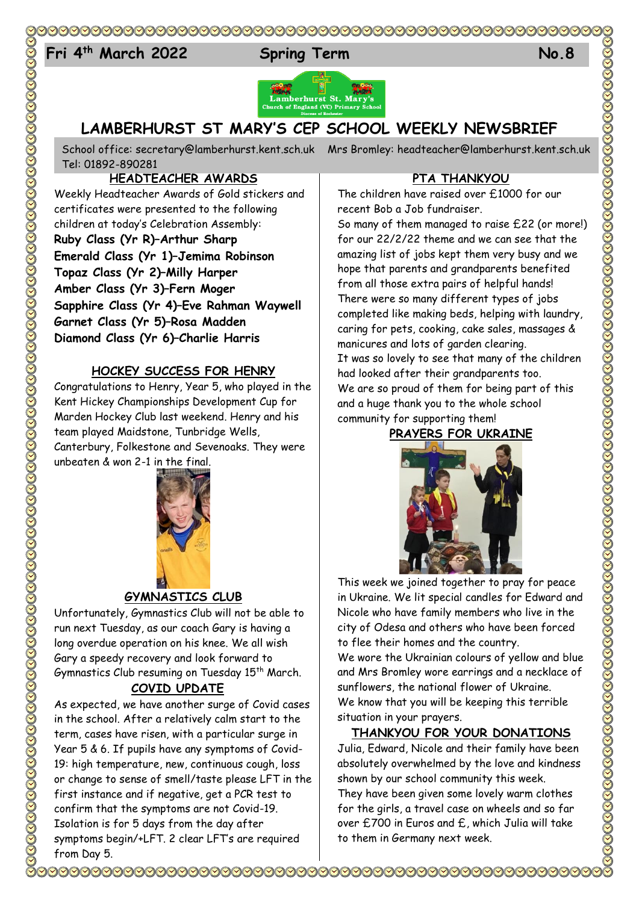### 

# 24 **Fri 4 th March 2022 Spring Term No.8**





## **LAMBERHURST ST MARY'S CEP SCHOOL WEEKLY NEWSBRIEF**

School office: [secretary@lamberhurst.kent.sch.uk](mailto:secretary@lamberhurst.kent.sch.uk) Mrs Bromley: headteacher@lamberhurst.kent.sch.uk Tel: 01892-890281

#### **HEADTEACHER AWARDS**

Weekly Headteacher Awards of Gold stickers and certificates were presented to the following children at today's Celebration Assembly: **Ruby Class (Yr R)–Arthur Sharp Emerald Class (Yr 1)–Jemima Robinson Topaz Class (Yr 2)–Milly Harper Amber Class (Yr 3)–Fern Moger Sapphire Class (Yr 4)–Eve Rahman Waywell Garnet Class (Yr 5)–Rosa Madden Diamond Class (Yr 6)–Charlie Harris**

#### **HOCKEY SUCCESS FOR HENRY**

Congratulations to Henry, Year 5, who played in the Kent Hickey Championships Development Cup for Marden Hockey Club last weekend. Henry and his team played Maidstone, Tunbridge Wells, Canterbury, Folkestone and Sevenoaks. They were unbeaten & won 2-1 in the final.



#### **GYMNASTICS CLUB**

Unfortunately, Gymnastics Club will not be able to run next Tuesday, as our coach Gary is having a long overdue operation on his knee. We all wish Gary a speedy recovery and look forward to Gymnastics Club resuming on Tuesday 15<sup>th</sup> March.

#### **COVID UPDATE**

As expected, we have another surge of Covid cases in the school. After a relatively calm start to the term, cases have risen, with a particular surge in Year 5 & 6. If pupils have any symptoms of Covid-19: high temperature, new, continuous cough, loss or change to sense of smell/taste please LFT in the first instance and if negative, get a PCR test to confirm that the symptoms are not Covid-19. Isolation is for 5 days from the day after symptoms begin/+LFT. 2 clear LFT's are required from Day 5.

#### **PTA THANKYOU**

The children have raised over £1000 for our recent Bob a Job fundraiser.

So many of them managed to raise £22 (or more!) for our 22/2/22 theme and we can see that the amazing list of jobs kept them very busy and we hope that parents and grandparents benefited from all those extra pairs of helpful hands! There were so many different types of jobs completed like making beds, helping with laundry, caring for pets, cooking, cake sales, massages & manicures and lots of garden clearing. It was so lovely to see that many of the children had looked after their grandparents too. We are so proud of them for being part of this and a huge thank you to the whole school community for supporting them!

**PRAYERS FOR UKRAINE**



This week we joined together to pray for peace in Ukraine. We lit special candles for Edward and Nicole who have family members who live in the city of Odesa and others who have been forced to flee their homes and the country.

We wore the Ukrainian colours of yellow and blue and Mrs Bromley wore earrings and a necklace of sunflowers, the national flower of Ukraine. We know that you will be keeping this terrible situation in your prayers.

#### **THANKYOU FOR YOUR DONATIONS**

Julia, Edward, Nicole and their family have been absolutely overwhelmed by the love and kindness shown by our school community this week. They have been given some lovely warm clothes for the girls, a travel case on wheels and so far over £700 in Euros and £, which Julia will take to them in Germany next week.